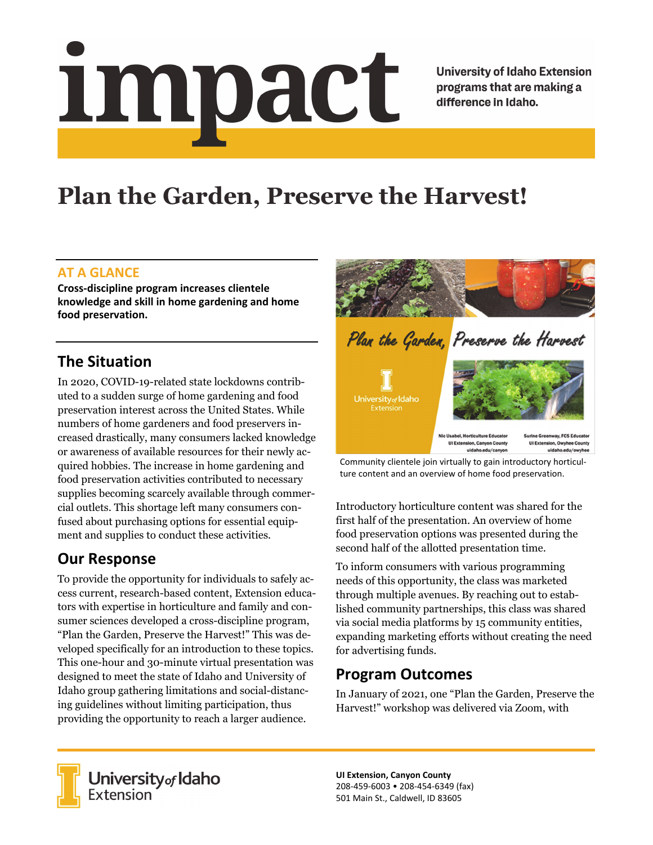# impact

**University of Idaho Extension** programs that are making a difference in Idaho.

# **Plan the Garden, Preserve the Harvest!**

#### **AT A GLANCE**

**Cross‐discipline program increases clientele knowledge and skill in home gardening and home food preservation.**

## **The Situation**

In 2020, COVID-19-related state lockdowns contributed to a sudden surge of home gardening and food preservation interest across the United States. While numbers of home gardeners and food preservers increased drastically, many consumers lacked knowledge or awareness of available resources for their newly acquired hobbies. The increase in home gardening and food preservation activities contributed to necessary supplies becoming scarcely available through commercial outlets. This shortage left many consumers confused about purchasing options for essential equipment and supplies to conduct these activities.

# **Our Response**

To provide the opportunity for individuals to safely access current, research-based content, Extension educators with expertise in horticulture and family and consumer sciences developed a cross-discipline program, "Plan the Garden, Preserve the Harvest!" This was developed specifically for an introduction to these topics. This one-hour and 30-minute virtual presentation was designed to meet the state of Idaho and University of Idaho group gathering limitations and social-distancing guidelines without limiting participation, thus providing the opportunity to reach a larger audience.



Community clientele join virtually to gain introductory horticul‐ ture content and an overview of home food preservation.

Introductory horticulture content was shared for the first half of the presentation. An overview of home food preservation options was presented during the second half of the allotted presentation time.

To inform consumers with various programming needs of this opportunity, the class was marketed through multiple avenues. By reaching out to established community partnerships, this class was shared via social media platforms by 15 community entities, expanding marketing efforts without creating the need for advertising funds.

### **Program Outcomes**

In January of 2021, one "Plan the Garden, Preserve the Harvest!" workshop was delivered via Zoom, with



**University** of Idaho<br>Extension

**UI Extension, Canyon County** 208‐459‐6003 • 208‐454‐6349 (fax) 501 Main St., Caldwell, ID 83605